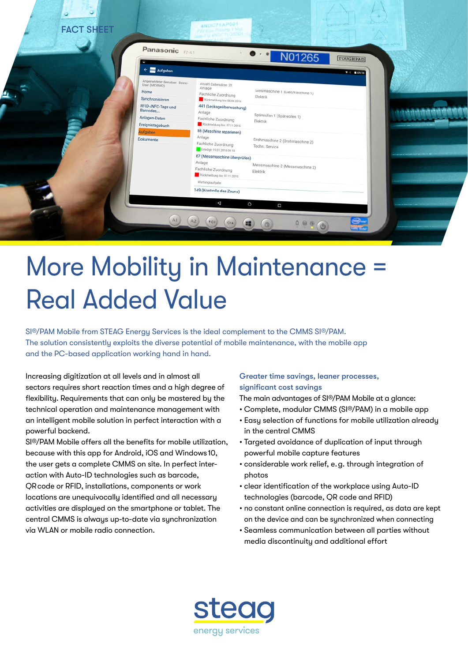

# More Mobility in Maintenance = Real Added Value

SI®/PAM Mobile from STEAG Energy Services is the ideal complement to the CMMS SI®/PAM. The solution consistently exploits the diverse potential of mobile maintenance, with the mobile app and the PC-based application working hand in hand.

Increasing digitization at all levels and in almost all sectors requires short reaction times and a high degree of flexibility. Requirements that can only be mastered by the technical operation and maintenance management with an intelligent mobile solution in perfect interaction with a powerful backend.

SI®/PAM Mobile offers all the benefits for mobile utilization, because with this app for Android, iOS and Windows 10, the user gets a complete CMMS on site. In perfect interaction with Auto-ID technologies such as barcode, QR code or RFID, installations, components or work locations are unequivocally identified and all necessary activities are displayed on the smartphone or tablet. The central CMMS is always up-to-date via synchronization via WLAN or mobile radio connection.

## Greater time savings, leaner processes, significant cost savings

The main advantages of SI®/PAM Mobile at a glance:

- Complete, modular CMMS (SI®/PAM) in a mobile app
- Easy selection of functions for mobile utilization already in the central CMMS
- Targeted avoidance of duplication of input through powerful mobile capture features
- considerable work relief, e. g. through integration of photos
- clear identification of the workplace using Auto-ID technologies (barcode, QR code and RFID)
- no constant online connection is required, as data are kept on the device and can be synchronized when connecting
- Seamless communication between all parties without media discontinuity and additional effort